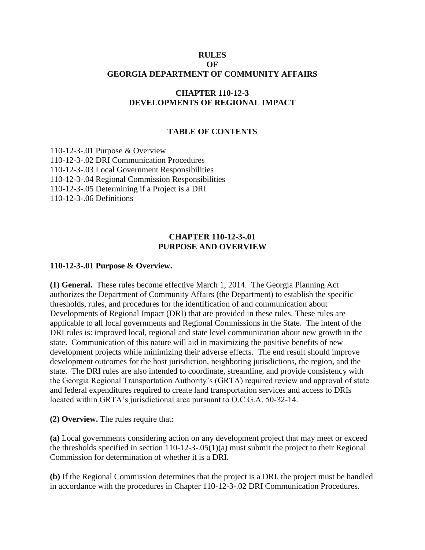#### **RULES OF GEORGIA DEPARTMENT OF COMMUNITY AFFAIRS**

## **CHAPTER 110-12-3 DEVELOPMENTS OF REGIONAL IMPACT**

#### **TABLE OF CONTENTS**

110-12-3-.01 Purpose & Overview 110-12-3-.02 DRI Communication Procedures 110-12-3-.03 Local Government Responsibilities 110-12-3-.04 Regional Commission Responsibilities 110-12-3-.05 Determining if a Project is a DRI 110-12-3-.06 Definitions

#### **CHAPTER 110-12-3-.01 PURPOSE AND OVERVIEW**

#### **110-12-3-.01 Purpose & Overview.**

**(1) General.** These rules become effective March 1, 2014.The Georgia Planning Act authorizes the Department of Community Affairs (the Department) to establish the specific thresholds, rules, and procedures for the identification of and communication about Developments of Regional Impact (DRI) that are provided in these rules. These rules are applicable to all local governments and Regional Commissions in the State. The intent of the DRI rules is: improved local, regional and state level communication about new growth in the state. Communication of this nature will aid in maximizing the positive benefits of new development projects while minimizing their adverse effects. The end result should improve development outcomes for the host jurisdiction, neighboring jurisdictions, the region, and the state. The DRI rules are also intended to coordinate, streamline, and provide consistency with the Georgia Regional Transportation Authority's (GRTA) required review and approval of state and federal expenditures required to create land transportation services and access to DRIs located within GRTA's jurisdictional area pursuant to O.C.G.A. 50-32-14.

**(2) Overview.** The rules require that:

**(a)** Local governments considering action on any development project that may meet or exceed the thresholds specified in section 110-12-3-.05(1)(a) must submit the project to their Regional Commission for determination of whether it is a DRI.

**(b)** If the Regional Commission determines that the project is a DRI, the project must be handled in accordance with the procedures in Chapter 110-12-3-.02 DRI Communication Procedures.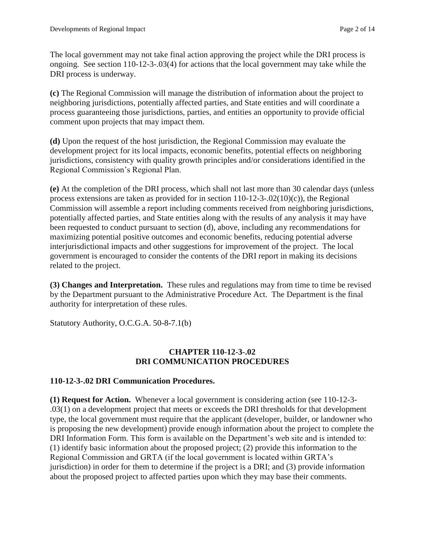The local government may not take final action approving the project while the DRI process is ongoing. See section 110-12-3-.03(4) for actions that the local government may take while the DRI process is underway.

**(c)** The Regional Commission will manage the distribution of information about the project to neighboring jurisdictions, potentially affected parties, and State entities and will coordinate a process guaranteeing those jurisdictions, parties, and entities an opportunity to provide official comment upon projects that may impact them.

**(d)** Upon the request of the host jurisdiction, the Regional Commission may evaluate the development project for its local impacts, economic benefits, potential effects on neighboring jurisdictions, consistency with quality growth principles and/or considerations identified in the Regional Commission's Regional Plan.

**(e)** At the completion of the DRI process, which shall not last more than 30 calendar days (unless process extensions are taken as provided for in section  $110-12-3-02(10)(c)$ , the Regional Commission will assemble a report including comments received from neighboring jurisdictions, potentially affected parties, and State entities along with the results of any analysis it may have been requested to conduct pursuant to section (d), above, including any recommendations for maximizing potential positive outcomes and economic benefits, reducing potential adverse interjurisdictional impacts and other suggestions for improvement of the project. The local government is encouraged to consider the contents of the DRI report in making its decisions related to the project.

**(3) Changes and Interpretation.** These rules and regulations may from time to time be revised by the Department pursuant to the Administrative Procedure Act. The Department is the final authority for interpretation of these rules.

Statutory Authority, O.C.G.A. 50-8-7.1(b)

## **CHAPTER 110-12-3-.02 DRI COMMUNICATION PROCEDURES**

## **110-12-3-.02 DRI Communication Procedures.**

**(1) Request for Action.** Whenever a local government is considering action (see 110-12-3- .03(1) on a development project that meets or exceeds the DRI thresholds for that development type, the local government must require that the applicant (developer, builder, or landowner who is proposing the new development) provide enough information about the project to complete the DRI Information Form. This form is available on the Department's web site and is intended to: (1) identify basic information about the proposed project; (2) provide this information to the Regional Commission and GRTA (if the local government is located within GRTA's jurisdiction) in order for them to determine if the project is a DRI; and (3) provide information about the proposed project to affected parties upon which they may base their comments.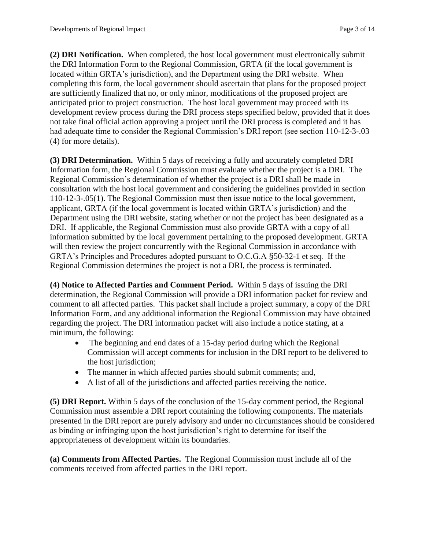**(2) DRI Notification.** When completed, the host local government must electronically submit the DRI Information Form to the Regional Commission, GRTA (if the local government is located within GRTA's jurisdiction), and the Department using the DRI website. When completing this form, the local government should ascertain that plans for the proposed project are sufficiently finalized that no, or only minor, modifications of the proposed project are anticipated prior to project construction. The host local government may proceed with its development review process during the DRI process steps specified below, provided that it does not take final official action approving a project until the DRI process is completed and it has had adequate time to consider the Regional Commission's DRI report (see section 110-12-3-.03) (4) for more details).

**(3) DRI Determination.** Within 5 days of receiving a fully and accurately completed DRI Information form, the Regional Commission must evaluate whether the project is a DRI. The Regional Commission's determination of whether the project is a DRI shall be made in consultation with the host local government and considering the guidelines provided in section 110-12-3-.05(1). The Regional Commission must then issue notice to the local government, applicant, GRTA (if the local government is located within GRTA's jurisdiction) and the Department using the DRI website, stating whether or not the project has been designated as a DRI. If applicable, the Regional Commission must also provide GRTA with a copy of all information submitted by the local government pertaining to the proposed development. GRTA will then review the project concurrently with the Regional Commission in accordance with GRTA's Principles and Procedures adopted pursuant to O.C.G.A §50-32-1 et seq. If the Regional Commission determines the project is not a DRI, the process is terminated.

**(4) Notice to Affected Parties and Comment Period.** Within 5 days of issuing the DRI determination, the Regional Commission will provide a DRI information packet for review and comment to all affected parties. This packet shall include a project summary, a copy of the DRI Information Form, and any additional information the Regional Commission may have obtained regarding the project. The DRI information packet will also include a notice stating, at a minimum, the following:

- The beginning and end dates of a 15-day period during which the Regional Commission will accept comments for inclusion in the DRI report to be delivered to the host jurisdiction;
- The manner in which affected parties should submit comments; and,
- A list of all of the jurisdictions and affected parties receiving the notice.

**(5) DRI Report.** Within 5 days of the conclusion of the 15-day comment period, the Regional Commission must assemble a DRI report containing the following components. The materials presented in the DRI report are purely advisory and under no circumstances should be considered as binding or infringing upon the host jurisdiction's right to determine for itself the appropriateness of development within its boundaries.

**(a) Comments from Affected Parties.** The Regional Commission must include all of the comments received from affected parties in the DRI report.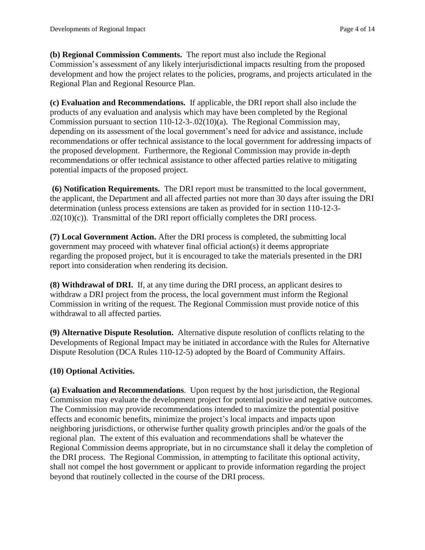**(b) Regional Commission Comments.** The report must also include the Regional Commission's assessment of any likely interjurisdictional impacts resulting from the proposed development and how the project relates to the policies, programs, and projects articulated in the Regional Plan and Regional Resource Plan.

**(c) Evaluation and Recommendations.** If applicable, the DRI report shall also include the products of any evaluation and analysis which may have been completed by the Regional Commission pursuant to section 110-12-3-.02(10)(a). The Regional Commission may, depending on its assessment of the local government's need for advice and assistance, include recommendations or offer technical assistance to the local government for addressing impacts of the proposed development. Furthermore, the Regional Commission may provide in-depth recommendations or offer technical assistance to other affected parties relative to mitigating potential impacts of the proposed project.

**(6) Notification Requirements.** The DRI report must be transmitted to the local government, the applicant, the Department and all affected parties not more than 30 days after issuing the DRI determination (unless process extensions are taken as provided for in section 110-12-3-  $.02(10)(c)$ . Transmittal of the DRI report officially completes the DRI process.

**(7) Local Government Action.** After the DRI process is completed, the submitting local government may proceed with whatever final official action(s) it deems appropriate regarding the proposed project, but it is encouraged to take the materials presented in the DRI report into consideration when rendering its decision.

**(8) Withdrawal of DRI.** If, at any time during the DRI process, an applicant desires to withdraw a DRI project from the process, the local government must inform the Regional Commission in writing of the request. The Regional Commission must provide notice of this withdrawal to all affected parties.

**(9) Alternative Dispute Resolution.** Alternative dispute resolution of conflicts relating to the Developments of Regional Impact may be initiated in accordance with the Rules for Alternative Dispute Resolution (DCA Rules 110-12-5) adopted by the Board of Community Affairs.

## **(10) Optional Activities.**

**(a) Evaluation and Recommendations**. Upon request by the host jurisdiction, the Regional Commission may evaluate the development project for potential positive and negative outcomes. The Commission may provide recommendations intended to maximize the potential positive effects and economic benefits, minimize the project's local impacts and impacts upon neighboring jurisdictions, or otherwise further quality growth principles and/or the goals of the regional plan. The extent of this evaluation and recommendations shall be whatever the Regional Commission deems appropriate, but in no circumstance shall it delay the completion of the DRI process. The Regional Commission, in attempting to facilitate this optional activity, shall not compel the host government or applicant to provide information regarding the project beyond that routinely collected in the course of the DRI process.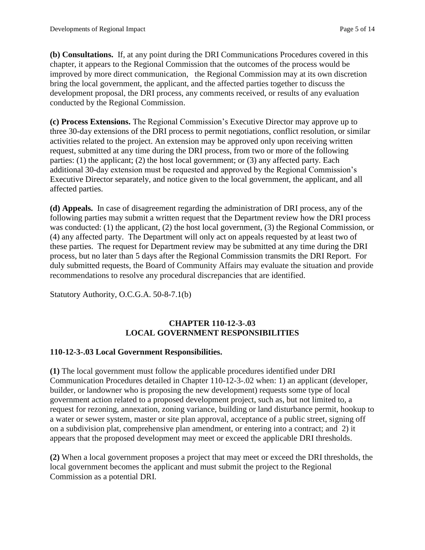**(b) Consultations.** If, at any point during the DRI Communications Procedures covered in this chapter, it appears to the Regional Commission that the outcomes of the process would be improved by more direct communication, the Regional Commission may at its own discretion bring the local government, the applicant, and the affected parties together to discuss the development proposal, the DRI process, any comments received, or results of any evaluation conducted by the Regional Commission.

**(c) Process Extensions.** The Regional Commission's Executive Director may approve up to three 30-day extensions of the DRI process to permit negotiations, conflict resolution, or similar activities related to the project. An extension may be approved only upon receiving written request, submitted at any time during the DRI process, from two or more of the following parties: (1) the applicant; (2) the host local government; or (3) any affected party. Each additional 30-day extension must be requested and approved by the Regional Commission's Executive Director separately, and notice given to the local government, the applicant, and all affected parties.

**(d) Appeals.** In case of disagreement regarding the administration of DRI process, any of the following parties may submit a written request that the Department review how the DRI process was conducted: (1) the applicant, (2) the host local government, (3) the Regional Commission, or (4) any affected party. The Department will only act on appeals requested by at least two of these parties. The request for Department review may be submitted at any time during the DRI process, but no later than 5 days after the Regional Commission transmits the DRI Report. For duly submitted requests, the Board of Community Affairs may evaluate the situation and provide recommendations to resolve any procedural discrepancies that are identified.

Statutory Authority, O.C.G.A. 50-8-7.1(b)

# **CHAPTER 110-12-3-.03 LOCAL GOVERNMENT RESPONSIBILITIES**

## **110-12-3-.03 Local Government Responsibilities.**

**(1)** The local government must follow the applicable procedures identified under DRI Communication Procedures detailed in Chapter 110-12-3-.02 when: 1) an applicant (developer, builder, or landowner who is proposing the new development) requests some type of local government action related to a proposed development project, such as, but not limited to, a request for rezoning, annexation, zoning variance, building or land disturbance permit, hookup to a water or sewer system, master or site plan approval, acceptance of a public street, signing off on a subdivision plat, comprehensive plan amendment, or entering into a contract; and 2) it appears that the proposed development may meet or exceed the applicable DRI thresholds.

**(2)** When a local government proposes a project that may meet or exceed the DRI thresholds, the local government becomes the applicant and must submit the project to the Regional Commission as a potential DRI.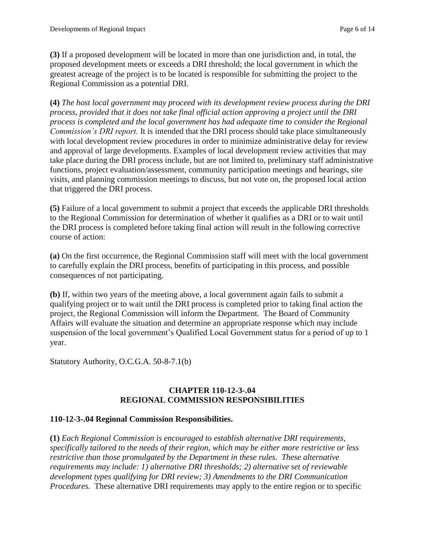**(3)** If a proposed development will be located in more than one jurisdiction and, in total, the proposed development meets or exceeds a DRI threshold; the local government in which the greatest acreage of the project is to be located is responsible for submitting the project to the Regional Commission as a potential DRI.

**(4)** *The host local government may proceed with its development review process during the DRI process, provided that it does not take final official action approving a project until the DRI process is completed and the local government has had adequate time to consider the Regional Commission's DRI report.* It is intended that the DRI process should take place simultaneously with local development review procedures in order to minimize administrative delay for review and approval of large developments. Examples of local development review activities that may take place during the DRI process include, but are not limited to, preliminary staff administrative functions, project evaluation/assessment, community participation meetings and hearings, site visits, and planning commission meetings to discuss, but not vote on, the proposed local action that triggered the DRI process.

**(5)** Failure of a local government to submit a project that exceeds the applicable DRI thresholds to the Regional Commission for determination of whether it qualifies as a DRI or to wait until the DRI process is completed before taking final action will result in the following corrective course of action:

**(a)** On the first occurrence, the Regional Commission staff will meet with the local government to carefully explain the DRI process, benefits of participating in this process, and possible consequences of not participating.

**(b)** If, within two years of the meeting above, a local government again fails to submit a qualifying project or to wait until the DRI process is completed prior to taking final action the project, the Regional Commission will inform the Department. The Board of Community Affairs will evaluate the situation and determine an appropriate response which may include suspension of the local government's Qualified Local Government status for a period of up to 1 year.

Statutory Authority, O.C.G.A. 50-8-7.1(b)

## **CHAPTER 110-12-3-.04 REGIONAL COMMISSION RESPONSIBILITIES**

## **110-12-3-.04 Regional Commission Responsibilities.**

**(1)** *Each Regional Commission is encouraged to establish alternative DRI requirements, specifically tailored to the needs of their region, which may be either more restrictive or less restrictive than those promulgated by the Department in these rules. These alternative requirements may include: 1) alternative DRI thresholds; 2) alternative set of reviewable development types qualifying for DRI review; 3) Amendments to the DRI Communication Procedures.* These alternative DRI requirements may apply to the entire region or to specific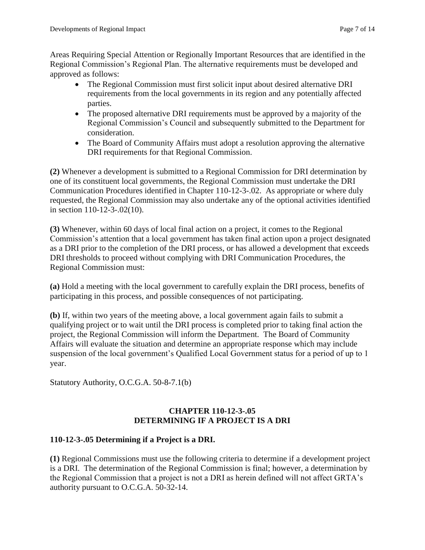Areas Requiring Special Attention or Regionally Important Resources that are identified in the Regional Commission's Regional Plan. The alternative requirements must be developed and approved as follows:

- The Regional Commission must first solicit input about desired alternative DRI requirements from the local governments in its region and any potentially affected parties.
- The proposed alternative DRI requirements must be approved by a majority of the Regional Commission's Council and subsequently submitted to the Department for consideration.
- The Board of Community Affairs must adopt a resolution approving the alternative DRI requirements for that Regional Commission.

**(2)** Whenever a development is submitted to a Regional Commission for DRI determination by one of its constituent local governments, the Regional Commission must undertake the DRI Communication Procedures identified in Chapter 110-12-3-.02. As appropriate or where duly requested, the Regional Commission may also undertake any of the optional activities identified in section 110-12-3-.02(10).

**(3)** Whenever, within 60 days of local final action on a project, it comes to the Regional Commission's attention that a local government has taken final action upon a project designated as a DRI prior to the completion of the DRI process, or has allowed a development that exceeds DRI thresholds to proceed without complying with DRI Communication Procedures, the Regional Commission must:

**(a)** Hold a meeting with the local government to carefully explain the DRI process, benefits of participating in this process, and possible consequences of not participating.

**(b)** If, within two years of the meeting above, a local government again fails to submit a qualifying project or to wait until the DRI process is completed prior to taking final action the project, the Regional Commission will inform the Department. The Board of Community Affairs will evaluate the situation and determine an appropriate response which may include suspension of the local government's Qualified Local Government status for a period of up to 1 year.

Statutory Authority, O.C.G.A. 50-8-7.1(b)

# **CHAPTER 110-12-3-.05 DETERMINING IF A PROJECT IS A DRI**

# **110-12-3-.05 Determining if a Project is a DRI.**

**(1)** Regional Commissions must use the following criteria to determine if a development project is a DRI. The determination of the Regional Commission is final; however, a determination by the Regional Commission that a project is not a DRI as herein defined will not affect GRTA's authority pursuant to O.C.G.A. 50-32-14.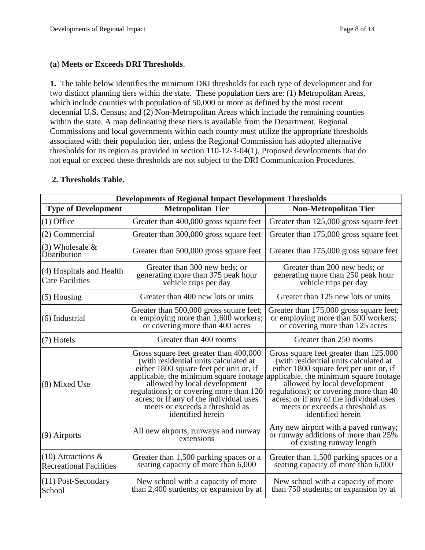#### **(a**) **Meets or Exceeds DRI Thresholds**.

**1.** The table below identifies the minimum DRI thresholds for each type of development and for two distinct planning tiers within the state. These population tiers are: (1) Metropolitan Areas, which include counties with population of 50,000 or more as defined by the most recent decennial U.S. Census; and (2) Non-Metropolitan Areas which include the remaining counties within the state. A map delineating these tiers is available from the Department. Regional Commissions and local governments within each county must utilize the appropriate thresholds associated with their population tier, unless the Regional Commission has adopted alternative thresholds for its region as provided in section 110-12-3-04(1). Proposed developments that do not equal or exceed these thresholds are not subject to the DRI Communication Procedures.

| <b>Developments of Regional Impact Development Thresholds</b> |                                                                                                                                                                                                                                                                                                                                                    |                                                                                                                                                                                                                                                                                                                                                   |
|---------------------------------------------------------------|----------------------------------------------------------------------------------------------------------------------------------------------------------------------------------------------------------------------------------------------------------------------------------------------------------------------------------------------------|---------------------------------------------------------------------------------------------------------------------------------------------------------------------------------------------------------------------------------------------------------------------------------------------------------------------------------------------------|
| <b>Type of Development</b>                                    | <b>Metropolitan Tier</b>                                                                                                                                                                                                                                                                                                                           | <b>Non-Metropolitan Tier</b>                                                                                                                                                                                                                                                                                                                      |
| $(1)$ Office                                                  | Greater than 400,000 gross square feet                                                                                                                                                                                                                                                                                                             | Greater than 125,000 gross square feet                                                                                                                                                                                                                                                                                                            |
| (2) Commercial                                                | Greater than 300,000 gross square feet                                                                                                                                                                                                                                                                                                             | Greater than 175,000 gross square feet                                                                                                                                                                                                                                                                                                            |
| $(3)$ Wholesale &<br>Distribution                             | Greater than 500,000 gross square feet                                                                                                                                                                                                                                                                                                             | Greater than 175,000 gross square feet                                                                                                                                                                                                                                                                                                            |
| (4) Hospitals and Health<br><b>Care Facilities</b>            | Greater than 300 new beds; or<br>generating more than 375 peak hour<br>vehicle trips per day                                                                                                                                                                                                                                                       | Greater than 200 new beds; or<br>generating more than 250 peak hour<br>vehicle trips per day                                                                                                                                                                                                                                                      |
| $(5)$ Housing                                                 | Greater than 400 new lots or units                                                                                                                                                                                                                                                                                                                 | Greater than 125 new lots or units                                                                                                                                                                                                                                                                                                                |
| (6) Industrial                                                | Greater than 500,000 gross square feet;<br>or employing more than 1,600 workers;<br>or covering more than 400 acres                                                                                                                                                                                                                                | Greater than 175,000 gross square feet;<br>or employing more than 500 workers;<br>or covering more than 125 acres                                                                                                                                                                                                                                 |
| $(7)$ Hotels                                                  | Greater than 400 rooms                                                                                                                                                                                                                                                                                                                             | Greater than 250 rooms                                                                                                                                                                                                                                                                                                                            |
| (8) Mixed Use                                                 | Gross square feet greater than 400,000<br>(with residential units calculated at<br>either 1800 square feet per unit or, if<br>applicable, the minimum square footage<br>allowed by local development<br>regulations); or covering more than 120<br>acres; or if any of the individual uses<br>meets or exceeds a threshold as<br>identified herein | Gross square feet greater than 125,000<br>(with residential units calculated at<br>either 1800 square feet per unit or, if<br>applicable, the minimum square footage<br>allowed by local development<br>regulations); or covering more than 40<br>acres; or if any of the individual uses<br>meets or exceeds a threshold as<br>identified herein |
| (9) Airports                                                  | All new airports, runways and runway<br>extensions                                                                                                                                                                                                                                                                                                 | Any new airport with a paved runway;<br>or runway additions of more than 25%<br>of existing runway length                                                                                                                                                                                                                                         |
| $(10)$ Attractions &<br><b>Recreational Facilities</b>        | Greater than 1,500 parking spaces or a<br>seating capacity of more than 6,000                                                                                                                                                                                                                                                                      | Greater than 1,500 parking spaces or a<br>seating capacity of more than 6,000                                                                                                                                                                                                                                                                     |
| (11) Post-Secondary<br>School                                 | New school with a capacity of more<br>than 2,400 students; or expansion by at                                                                                                                                                                                                                                                                      | New school with a capacity of more<br>than 750 students; or expansion by at                                                                                                                                                                                                                                                                       |

## **2. Thresholds Table.**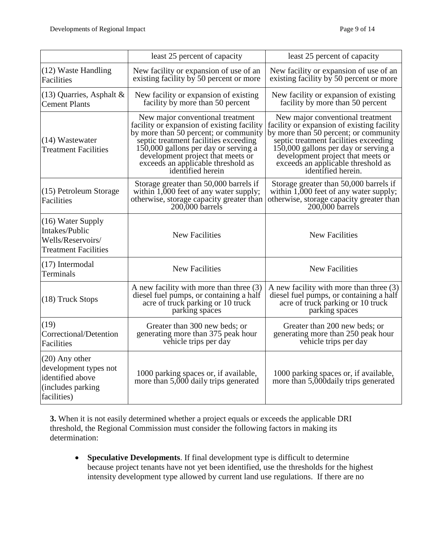|                                                                                                   | least 25 percent of capacity                                                                                                                                                                                                                                                                             | least 25 percent of capacity                                                                                                                                                                                                                                                                              |
|---------------------------------------------------------------------------------------------------|----------------------------------------------------------------------------------------------------------------------------------------------------------------------------------------------------------------------------------------------------------------------------------------------------------|-----------------------------------------------------------------------------------------------------------------------------------------------------------------------------------------------------------------------------------------------------------------------------------------------------------|
| (12) Waste Handling<br><b>Facilities</b>                                                          | New facility or expansion of use of an<br>existing facility by 50 percent or more                                                                                                                                                                                                                        | New facility or expansion of use of an<br>existing facility by 50 percent or more                                                                                                                                                                                                                         |
| $(13)$ Quarries, Asphalt &<br><b>Cement Plants</b>                                                | New facility or expansion of existing<br>facility by more than 50 percent                                                                                                                                                                                                                                | New facility or expansion of existing<br>facility by more than 50 percent                                                                                                                                                                                                                                 |
| (14) Wastewater<br><b>Treatment Facilities</b>                                                    | New major conventional treatment<br>facility or expansion of existing facility<br>by more than 50 percent; or community<br>septic treatment facilities exceeding<br>150,000 gallons per day or serving a<br>development project that meets or<br>exceeds an applicable threshold as<br>identified herein | New major conventional treatment<br>facility or expansion of existing facility<br>by more than 50 percent; or community<br>septic treatment facilities exceeding<br>150,000 gallons per day or serving a<br>development project that meets or<br>exceeds an applicable threshold as<br>identified herein. |
| (15) Petroleum Storage<br>Facilities                                                              | Storage greater than 50,000 barrels if<br>within 1,000 feet of any water supply;<br>otherwise, storage capacity greater than<br>200,000 barrels                                                                                                                                                          | Storage greater than 50,000 barrels if<br>within 1,000 feet of any water supply;<br>otherwise, storage capacity greater than<br>200,000 barrels                                                                                                                                                           |
| (16) Water Supply<br>Intakes/Public<br>Wells/Reservoirs/<br><b>Treatment Facilities</b>           | <b>New Facilities</b>                                                                                                                                                                                                                                                                                    | <b>New Facilities</b>                                                                                                                                                                                                                                                                                     |
| $(17)$ Intermodal<br><b>Terminals</b>                                                             | <b>New Facilities</b>                                                                                                                                                                                                                                                                                    | <b>New Facilities</b>                                                                                                                                                                                                                                                                                     |
| (18) Truck Stops                                                                                  | A new facility with more than three $(3)$<br>diesel fuel pumps, or containing a half<br>acre of truck parking or 10 truck<br>parking spaces                                                                                                                                                              | A new facility with more than three (3)<br>diesel fuel pumps, or containing a half<br>acre of truck parking or 10 truck<br>parking spaces                                                                                                                                                                 |
| (19)<br>Correctional/Detention<br>Facilities                                                      | Greater than 300 new beds; or<br>generating more than 375 peak hour<br>vehicle trips per day                                                                                                                                                                                                             | Greater than 200 new beds; or<br>generating more than 250 peak hour<br>vehicle trips per day                                                                                                                                                                                                              |
| $(20)$ Any other<br>development types not<br>identified above<br>(includes parking<br>facilities) | 1000 parking spaces or, if available,<br>more than 5,000 daily trips generated                                                                                                                                                                                                                           | 1000 parking spaces or, if available,<br>more than 5,000 daily trips generated                                                                                                                                                                                                                            |

**3.** When it is not easily determined whether a project equals or exceeds the applicable DRI threshold, the Regional Commission must consider the following factors in making its determination:

 **Speculative Developments**. If final development type is difficult to determine because project tenants have not yet been identified, use the thresholds for the highest intensity development type allowed by current land use regulations. If there are no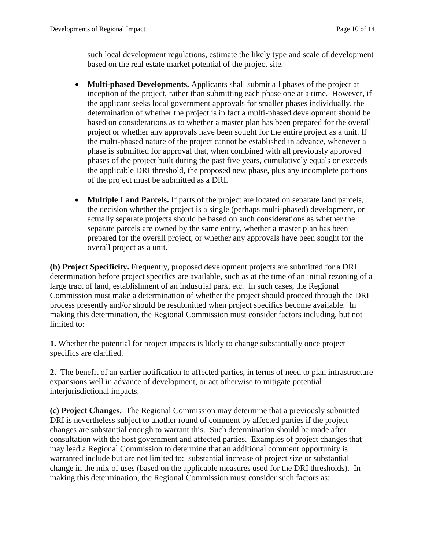such local development regulations, estimate the likely type and scale of development based on the real estate market potential of the project site.

- **Multi-phased Developments.** Applicants shall submit all phases of the project at inception of the project, rather than submitting each phase one at a time. However, if the applicant seeks local government approvals for smaller phases individually, the determination of whether the project is in fact a multi-phased development should be based on considerations as to whether a master plan has been prepared for the overall project or whether any approvals have been sought for the entire project as a unit. If the multi-phased nature of the project cannot be established in advance, whenever a phase is submitted for approval that, when combined with all previously approved phases of the project built during the past five years, cumulatively equals or exceeds the applicable DRI threshold, the proposed new phase, plus any incomplete portions of the project must be submitted as a DRI.
- **Multiple Land Parcels.** If parts of the project are located on separate land parcels, the decision whether the project is a single (perhaps multi-phased) development, or actually separate projects should be based on such considerations as whether the separate parcels are owned by the same entity, whether a master plan has been prepared for the overall project, or whether any approvals have been sought for the overall project as a unit.

**(b) Project Specificity.** Frequently, proposed development projects are submitted for a DRI determination before project specifics are available, such as at the time of an initial rezoning of a large tract of land, establishment of an industrial park, etc. In such cases, the Regional Commission must make a determination of whether the project should proceed through the DRI process presently and/or should be resubmitted when project specifics become available. In making this determination, the Regional Commission must consider factors including, but not limited to:

**1.** Whether the potential for project impacts is likely to change substantially once project specifics are clarified.

**2.** The benefit of an earlier notification to affected parties, in terms of need to plan infrastructure expansions well in advance of development, or act otherwise to mitigate potential interjurisdictional impacts.

**(c) Project Changes.** The Regional Commission may determine that a previously submitted DRI is nevertheless subject to another round of comment by affected parties if the project changes are substantial enough to warrant this.Such determination should be made after consultation with the host government and affected parties. Examples of project changes that may lead a Regional Commission to determine that an additional comment opportunity is warranted include but are not limited to: substantial increase of project size or substantial change in the mix of uses (based on the applicable measures used for the DRI thresholds). In making this determination, the Regional Commission must consider such factors as: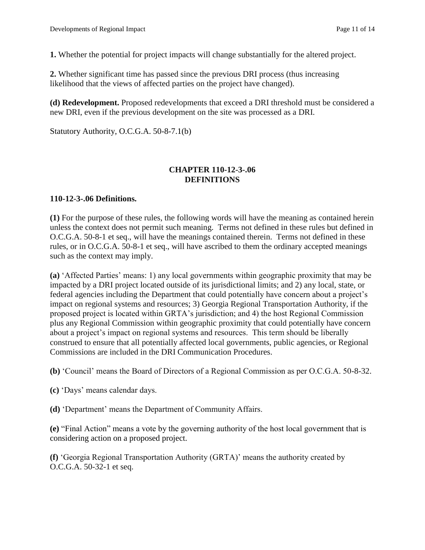**1.** Whether the potential for project impacts will change substantially for the altered project.

**2.** Whether significant time has passed since the previous DRI process (thus increasing likelihood that the views of affected parties on the project have changed).

**(d) Redevelopment.** Proposed redevelopments that exceed a DRI threshold must be considered a new DRI, even if the previous development on the site was processed as a DRI.

Statutory Authority, O.C.G.A. 50-8-7.1(b)

#### **CHAPTER 110-12-3-.06 DEFINITIONS**

## **110-12-3-.06 Definitions.**

**(1)** For the purpose of these rules, the following words will have the meaning as contained herein unless the context does not permit such meaning. Terms not defined in these rules but defined in O.C.G.A. 50-8-1 et seq., will have the meanings contained therein. Terms not defined in these rules, or in O.C.G.A. 50-8-1 et seq., will have ascribed to them the ordinary accepted meanings such as the context may imply.

**(a)** 'Affected Parties' means: 1) any local governments within geographic proximity that may be impacted by a DRI project located outside of its jurisdictional limits; and 2) any local, state, or federal agencies including the Department that could potentially have concern about a project's impact on regional systems and resources; 3) Georgia Regional Transportation Authority, if the proposed project is located within GRTA's jurisdiction; and 4) the host Regional Commission plus any Regional Commission within geographic proximity that could potentially have concern about a project's impact on regional systems and resources. This term should be liberally construed to ensure that all potentially affected local governments, public agencies, or Regional Commissions are included in the DRI Communication Procedures.

**(b)** 'Council' means the Board of Directors of a Regional Commission as per O.C.G.A. 50-8-32.

**(c)** 'Days' means calendar days.

**(d)** 'Department' means the Department of Community Affairs.

**(e)** "Final Action" means a vote by the governing authority of the host local government that is considering action on a proposed project.

**(f)** 'Georgia Regional Transportation Authority (GRTA)' means the authority created by O.C.G.A. 50-32-1 et seq.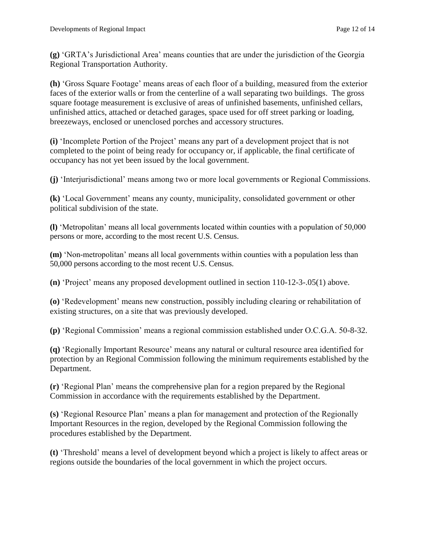**(g)** 'GRTA's Jurisdictional Area' means counties that are under the jurisdiction of the Georgia Regional Transportation Authority.

**(h)** 'Gross Square Footage' means areas of each floor of a building, measured from the exterior faces of the exterior walls or from the centerline of a wall separating two buildings. The gross square footage measurement is exclusive of areas of unfinished basements, unfinished cellars, unfinished attics, attached or detached garages, space used for off street parking or loading, breezeways, enclosed or unenclosed porches and accessory structures.

**(i)** 'Incomplete Portion of the Project' means any part of a development project that is not completed to the point of being ready for occupancy or, if applicable, the final certificate of occupancy has not yet been issued by the local government.

**(j)** 'Interjurisdictional' means among two or more local governments or Regional Commissions.

**(k)** 'Local Government' means any county, municipality, consolidated government or other political subdivision of the state.

**(l)** 'Metropolitan' means all local governments located within counties with a population of 50,000 persons or more, according to the most recent U.S. Census.

**(m)** 'Non-metropolitan' means all local governments within counties with a population less than 50,000 persons according to the most recent U.S. Census.

**(n)** 'Project' means any proposed development outlined in section 110-12-3-.05(1) above.

**(o)** 'Redevelopment' means new construction, possibly including clearing or rehabilitation of existing structures, on a site that was previously developed.

**(p)** 'Regional Commission' means a regional commission established under O.C.G.A. 50-8-32.

**(q)** 'Regionally Important Resource' means any natural or cultural resource area identified for protection by an Regional Commission following the minimum requirements established by the Department.

**(r)** 'Regional Plan' means the comprehensive plan for a region prepared by the Regional Commission in accordance with the requirements established by the Department.

**(s)** 'Regional Resource Plan' means a plan for management and protection of the Regionally Important Resources in the region, developed by the Regional Commission following the procedures established by the Department.

**(t)** 'Threshold' means a level of development beyond which a project is likely to affect areas or regions outside the boundaries of the local government in which the project occurs.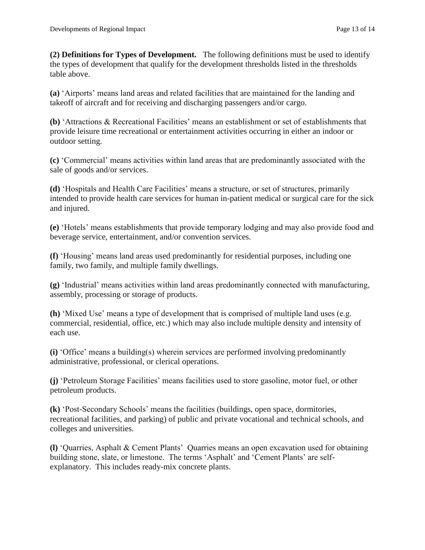**(2) Definitions for Types of Development.** The following definitions must be used to identify the types of development that qualify for the development thresholds listed in the thresholds table above.

**(a)** 'Airports' means land areas and related facilities that are maintained for the landing and takeoff of aircraft and for receiving and discharging passengers and/or cargo.

**(b)** 'Attractions & Recreational Facilities' means an establishment or set of establishments that provide leisure time recreational or entertainment activities occurring in either an indoor or outdoor setting.

**(c)** 'Commercial' means activities within land areas that are predominantly associated with the sale of goods and/or services.

**(d)** 'Hospitals and Health Care Facilities' means a structure, or set of structures, primarily intended to provide health care services for human in-patient medical or surgical care for the sick and injured.

**(e)** 'Hotels' means establishments that provide temporary lodging and may also provide food and beverage service, entertainment, and/or convention services.

**(f)** 'Housing' means land areas used predominantly for residential purposes, including one family, two family, and multiple family dwellings.

**(g)** 'Industrial' means activities within land areas predominantly connected with manufacturing, assembly, processing or storage of products.

**(h)** 'Mixed Use' means a type of development that is comprised of multiple land uses (e.g. commercial, residential, office, etc.) which may also include multiple density and intensity of each use.

**(i)** 'Office' means a building(s) wherein services are performed involving predominantly administrative, professional, or clerical operations.

**(j)** 'Petroleum Storage Facilities' means facilities used to store gasoline, motor fuel, or other petroleum products.

**(k)** 'Post-Secondary Schools' means the facilities (buildings, open space, dormitories, recreational facilities, and parking) of public and private vocational and technical schools, and colleges and universities.

**(l)** 'Quarries, Asphalt & Cement Plants' Quarries means an open excavation used for obtaining building stone, slate, or limestone. The terms 'Asphalt' and 'Cement Plants' are selfexplanatory. This includes ready-mix concrete plants.